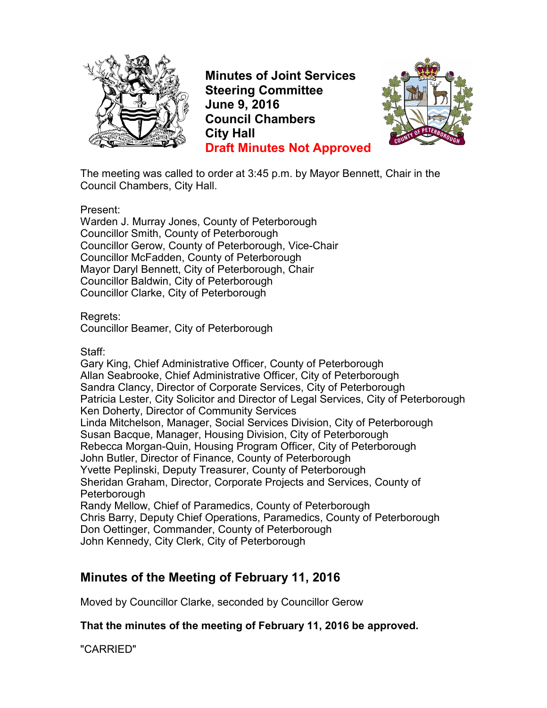

**Minutes of Joint Services Steering Committee June 9, 2016 Council Chambers City Hall Draft Minutes Not Approved**



The meeting was called to order at 3:45 p.m. by Mayor Bennett, Chair in the Council Chambers, City Hall.

Present:

Warden J. Murray Jones, County of Peterborough Councillor Smith, County of Peterborough Councillor Gerow, County of Peterborough, Vice-Chair Councillor McFadden, County of Peterborough Mayor Daryl Bennett, City of Peterborough, Chair Councillor Baldwin, City of Peterborough Councillor Clarke, City of Peterborough

Regrets:

Councillor Beamer, City of Peterborough

Staff:

Gary King, Chief Administrative Officer, County of Peterborough Allan Seabrooke, Chief Administrative Officer, City of Peterborough Sandra Clancy, Director of Corporate Services, City of Peterborough Patricia Lester, City Solicitor and Director of Legal Services, City of Peterborough Ken Doherty, Director of Community Services Linda Mitchelson, Manager, Social Services Division, City of Peterborough Susan Bacque, Manager, Housing Division, City of Peterborough Rebecca Morgan-Quin, Housing Program Officer, City of Peterborough John Butler, Director of Finance, County of Peterborough Yvette Peplinski, Deputy Treasurer, County of Peterborough Sheridan Graham, Director, Corporate Projects and Services, County of **Peterborough** Randy Mellow, Chief of Paramedics, County of Peterborough Chris Barry, Deputy Chief Operations, Paramedics, County of Peterborough Don Oettinger, Commander, County of Peterborough John Kennedy, City Clerk, City of Peterborough

# **Minutes of the Meeting of February 11, 2016**

Moved by Councillor Clarke, seconded by Councillor Gerow

**That the minutes of the meeting of February 11, 2016 be approved.**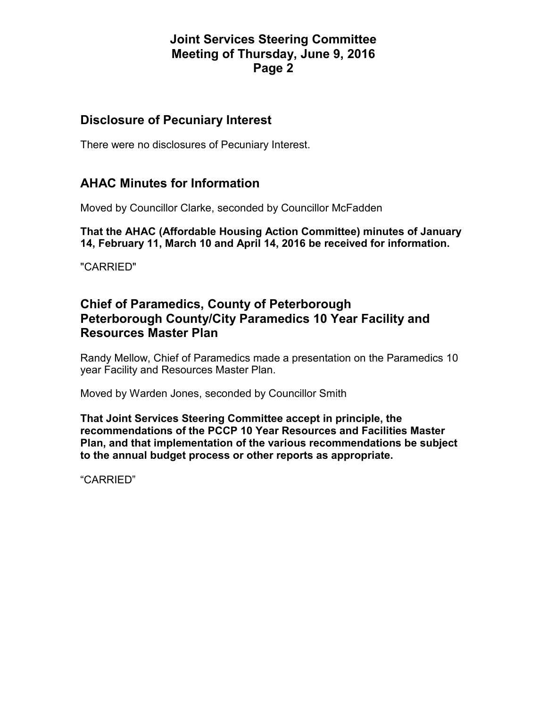#### **Disclosure of Pecuniary Interest**

There were no disclosures of Pecuniary Interest.

# **AHAC Minutes for Information**

Moved by Councillor Clarke, seconded by Councillor McFadden

**That the AHAC (Affordable Housing Action Committee) minutes of January 14, February 11, March 10 and April 14, 2016 be received for information.** 

"CARRIED"

# **Chief of Paramedics, County of Peterborough Peterborough County/City Paramedics 10 Year Facility and Resources Master Plan**

Randy Mellow, Chief of Paramedics made a presentation on the Paramedics 10 year Facility and Resources Master Plan.

Moved by Warden Jones, seconded by Councillor Smith

**That Joint Services Steering Committee accept in principle, the recommendations of the PCCP 10 Year Resources and Facilities Master Plan, and that implementation of the various recommendations be subject to the annual budget process or other reports as appropriate.**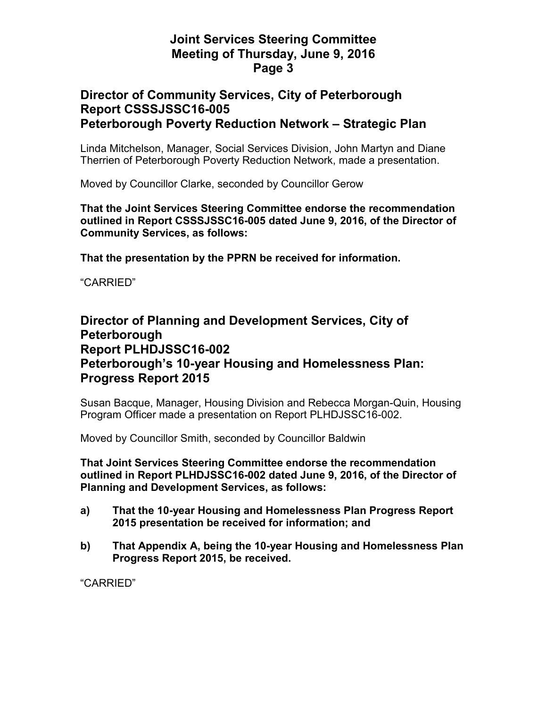#### **Director of Community Services, City of Peterborough Report CSSSJSSC16-005 Peterborough Poverty Reduction Network – Strategic Plan**

Linda Mitchelson, Manager, Social Services Division, John Martyn and Diane Therrien of Peterborough Poverty Reduction Network, made a presentation.

Moved by Councillor Clarke, seconded by Councillor Gerow

**That the Joint Services Steering Committee endorse the recommendation outlined in Report CSSSJSSC16-005 dated June 9, 2016, of the Director of Community Services, as follows:** 

**That the presentation by the PPRN be received for information.** 

"CARRIED"

### **Director of Planning and Development Services, City of Peterborough Report PLHDJSSC16-002 Peterborough's 10-year Housing and Homelessness Plan: Progress Report 2015**

Susan Bacque, Manager, Housing Division and Rebecca Morgan-Quin, Housing Program Officer made a presentation on Report PLHDJSSC16-002.

Moved by Councillor Smith, seconded by Councillor Baldwin

**That Joint Services Steering Committee endorse the recommendation outlined in Report PLHDJSSC16-002 dated June 9, 2016, of the Director of Planning and Development Services, as follows:** 

- **a) That the 10-year Housing and Homelessness Plan Progress Report 2015 presentation be received for information; and**
- **b) That Appendix A, being the 10-year Housing and Homelessness Plan Progress Report 2015, be received.**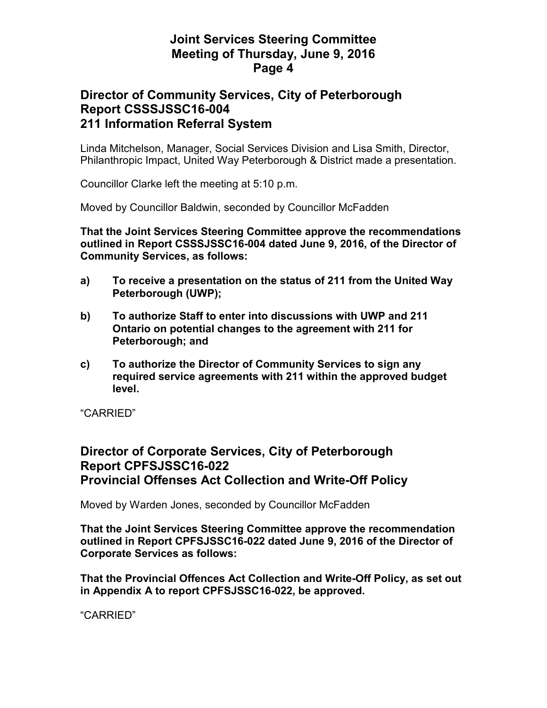### **Director of Community Services, City of Peterborough Report CSSSJSSC16-004 211 Information Referral System**

Linda Mitchelson, Manager, Social Services Division and Lisa Smith, Director, Philanthropic Impact, United Way Peterborough & District made a presentation.

Councillor Clarke left the meeting at 5:10 p.m.

Moved by Councillor Baldwin, seconded by Councillor McFadden

**That the Joint Services Steering Committee approve the recommendations outlined in Report CSSSJSSC16-004 dated June 9, 2016, of the Director of Community Services, as follows:** 

- **a) To receive a presentation on the status of 211 from the United Way Peterborough (UWP);**
- **b) To authorize Staff to enter into discussions with UWP and 211 Ontario on potential changes to the agreement with 211 for Peterborough; and**
- **c) To authorize the Director of Community Services to sign any required service agreements with 211 within the approved budget level.**

"CARRIED"

## **Director of Corporate Services, City of Peterborough Report CPFSJSSC16-022 Provincial Offenses Act Collection and Write-Off Policy**

Moved by Warden Jones, seconded by Councillor McFadden

**That the Joint Services Steering Committee approve the recommendation outlined in Report CPFSJSSC16-022 dated June 9, 2016 of the Director of Corporate Services as follows:** 

**That the Provincial Offences Act Collection and Write-Off Policy, as set out in Appendix A to report CPFSJSSC16-022, be approved.**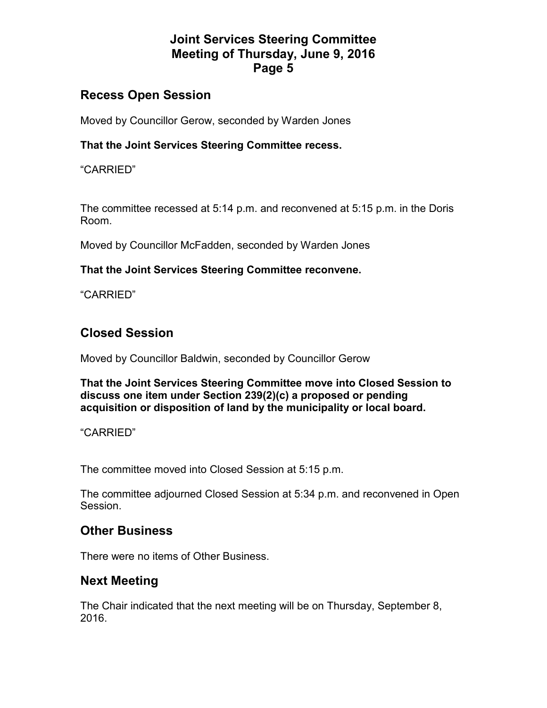## **Recess Open Session**

Moved by Councillor Gerow, seconded by Warden Jones

#### **That the Joint Services Steering Committee recess.**

"CARRIED"

The committee recessed at 5:14 p.m. and reconvened at 5:15 p.m. in the Doris Room.

Moved by Councillor McFadden, seconded by Warden Jones

#### **That the Joint Services Steering Committee reconvene.**

"CARRIED"

# **Closed Session**

Moved by Councillor Baldwin, seconded by Councillor Gerow

**That the Joint Services Steering Committee move into Closed Session to discuss one item under Section 239(2)(c) a proposed or pending acquisition or disposition of land by the municipality or local board.** 

"CARRIED"

The committee moved into Closed Session at 5:15 p.m.

The committee adjourned Closed Session at 5:34 p.m. and reconvened in Open Session.

## **Other Business**

There were no items of Other Business.

## **Next Meeting**

The Chair indicated that the next meeting will be on Thursday, September 8, 2016.